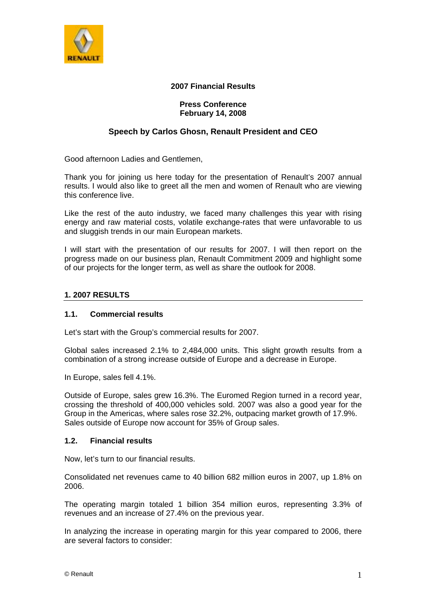

### **2007 Financial Results**

#### **Press Conference February 14, 2008**

# **Speech by Carlos Ghosn, Renault President and CEO**

Good afternoon Ladies and Gentlemen,

Thank you for joining us here today for the presentation of Renault's 2007 annual results. I would also like to greet all the men and women of Renault who are viewing this conference live.

Like the rest of the auto industry, we faced many challenges this year with rising energy and raw material costs, volatile exchange-rates that were unfavorable to us and sluggish trends in our main European markets.

I will start with the presentation of our results for 2007. I will then report on the progress made on our business plan, Renault Commitment 2009 and highlight some of our projects for the longer term, as well as share the outlook for 2008.

### **1. 2007 RESULTS**

### **1.1. Commercial results**

Let's start with the Group's commercial results for 2007.

Global sales increased 2.1% to 2,484,000 units. This slight growth results from a combination of a strong increase outside of Europe and a decrease in Europe.

In Europe, sales fell 4.1%.

Outside of Europe, sales grew 16.3%. The Euromed Region turned in a record year, crossing the threshold of 400,000 vehicles sold. 2007 was also a good year for the Group in the Americas, where sales rose 32.2%, outpacing market growth of 17.9%. Sales outside of Europe now account for 35% of Group sales.

### **1.2. Financial results**

Now, let's turn to our financial results.

Consolidated net revenues came to 40 billion 682 million euros in 2007, up 1.8% on 2006.

The operating margin totaled 1 billion 354 million euros, representing 3.3% of revenues and an increase of 27.4% on the previous year.

In analyzing the increase in operating margin for this year compared to 2006, there are several factors to consider: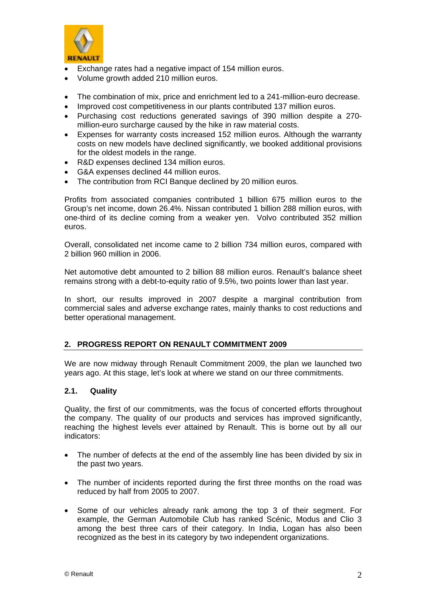

- Exchange rates had a negative impact of 154 million euros.
- Volume growth added 210 million euros.
- The combination of mix, price and enrichment led to a 241-million-euro decrease.
- Improved cost competitiveness in our plants contributed 137 million euros.
- Purchasing cost reductions generated savings of 390 million despite a 270 million-euro surcharge caused by the hike in raw material costs.
- Expenses for warranty costs increased 152 million euros. Although the warranty costs on new models have declined significantly, we booked additional provisions for the oldest models in the range.
- R&D expenses declined 134 million euros.
- G&A expenses declined 44 million euros.
- The contribution from RCI Banque declined by 20 million euros.

Profits from associated companies contributed 1 billion 675 million euros to the Group's net income, down 26.4%. Nissan contributed 1 billion 288 million euros, with one-third of its decline coming from a weaker yen. Volvo contributed 352 million euros.

Overall, consolidated net income came to 2 billion 734 million euros, compared with 2 billion 960 million in 2006.

Net automotive debt amounted to 2 billion 88 million euros. Renault's balance sheet remains strong with a debt-to-equity ratio of 9.5%, two points lower than last year.

In short, our results improved in 2007 despite a marginal contribution from commercial sales and adverse exchange rates, mainly thanks to cost reductions and better operational management.

### **2. PROGRESS REPORT ON RENAULT COMMITMENT 2009**

We are now midway through Renault Commitment 2009, the plan we launched two years ago. At this stage, let's look at where we stand on our three commitments.

### **2.1. Quality**

Quality, the first of our commitments, was the focus of concerted efforts throughout the company. The quality of our products and services has improved significantly, reaching the highest levels ever attained by Renault. This is borne out by all our indicators:

- The number of defects at the end of the assembly line has been divided by six in the past two years.
- The number of incidents reported during the first three months on the road was reduced by half from 2005 to 2007.
- Some of our vehicles already rank among the top 3 of their segment. For example, the German Automobile Club has ranked Scénic, Modus and Clio 3 among the best three cars of their category. In India, Logan has also been recognized as the best in its category by two independent organizations.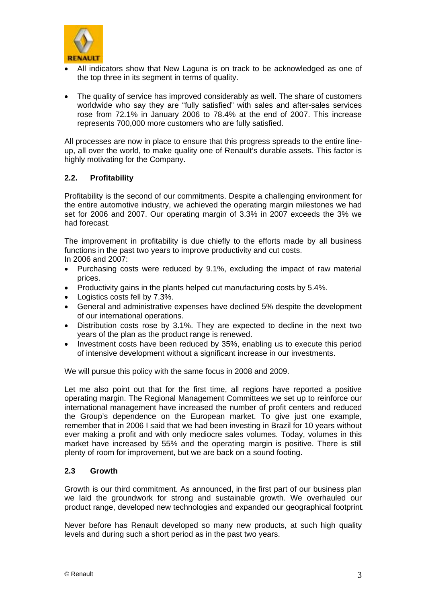

- All indicators show that New Laguna is on track to be acknowledged as one of the top three in its segment in terms of quality.
- The quality of service has improved considerably as well. The share of customers worldwide who say they are "fully satisfied" with sales and after-sales services rose from 72.1% in January 2006 to 78.4% at the end of 2007. This increase represents 700,000 more customers who are fully satisfied.

All processes are now in place to ensure that this progress spreads to the entire lineup, all over the world, to make quality one of Renault's durable assets. This factor is highly motivating for the Company.

## **2.2. Profitability**

Profitability is the second of our commitments. Despite a challenging environment for the entire automotive industry, we achieved the operating margin milestones we had set for 2006 and 2007. Our operating margin of 3.3% in 2007 exceeds the 3% we had forecast.

The improvement in profitability is due chiefly to the efforts made by all business functions in the past two years to improve productivity and cut costs.

In 2006 and 2007:

- Purchasing costs were reduced by 9.1%, excluding the impact of raw material prices.
- Productivity gains in the plants helped cut manufacturing costs by 5.4%.
- Logistics costs fell by 7.3%.
- General and administrative expenses have declined 5% despite the development of our international operations.
- Distribution costs rose by 3.1%. They are expected to decline in the next two years of the plan as the product range is renewed.
- Investment costs have been reduced by 35%, enabling us to execute this period of intensive development without a significant increase in our investments.

We will pursue this policy with the same focus in 2008 and 2009.

Let me also point out that for the first time, all regions have reported a positive operating margin. The Regional Management Committees we set up to reinforce our international management have increased the number of profit centers and reduced the Group's dependence on the European market. To give just one example, remember that in 2006 I said that we had been investing in Brazil for 10 years without ever making a profit and with only mediocre sales volumes. Today, volumes in this market have increased by 55% and the operating margin is positive. There is still plenty of room for improvement, but we are back on a sound footing.

### **2.3 Growth**

Growth is our third commitment. As announced, in the first part of our business plan we laid the groundwork for strong and sustainable growth. We overhauled our product range, developed new technologies and expanded our geographical footprint.

Never before has Renault developed so many new products, at such high quality levels and during such a short period as in the past two years.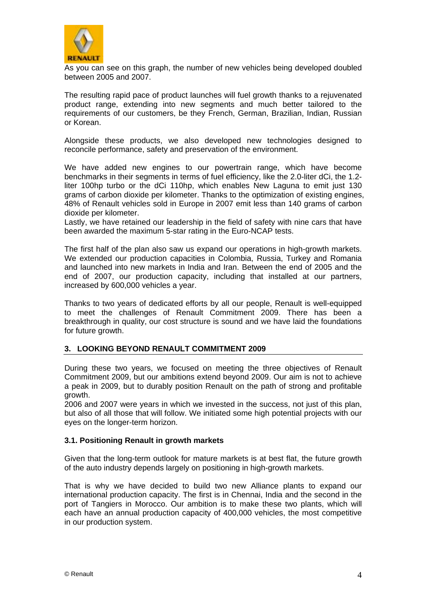

As you can see on this graph, the number of new vehicles being developed doubled between 2005 and 2007.

The resulting rapid pace of product launches will fuel growth thanks to a rejuvenated product range, extending into new segments and much better tailored to the requirements of our customers, be they French, German, Brazilian, Indian, Russian or Korean.

Alongside these products, we also developed new technologies designed to reconcile performance, safety and preservation of the environment.

We have added new engines to our powertrain range, which have become benchmarks in their segments in terms of fuel efficiency, like the 2.0-liter dCi, the 1.2 liter 100hp turbo or the dCi 110hp, which enables New Laguna to emit just 130 grams of carbon dioxide per kilometer. Thanks to the optimization of existing engines, 48% of Renault vehicles sold in Europe in 2007 emit less than 140 grams of carbon dioxide per kilometer.

Lastly, we have retained our leadership in the field of safety with nine cars that have been awarded the maximum 5-star rating in the Euro-NCAP tests.

The first half of the plan also saw us expand our operations in high-growth markets. We extended our production capacities in Colombia, Russia, Turkey and Romania and launched into new markets in India and Iran. Between the end of 2005 and the end of 2007, our production capacity, including that installed at our partners, increased by 600,000 vehicles a year.

Thanks to two years of dedicated efforts by all our people, Renault is well-equipped to meet the challenges of Renault Commitment 2009. There has been a breakthrough in quality, our cost structure is sound and we have laid the foundations for future growth.

### **3. LOOKING BEYOND RENAULT COMMITMENT 2009**

During these two years, we focused on meeting the three objectives of Renault Commitment 2009, but our ambitions extend beyond 2009. Our aim is not to achieve a peak in 2009, but to durably position Renault on the path of strong and profitable growth.

2006 and 2007 were years in which we invested in the success, not just of this plan, but also of all those that will follow. We initiated some high potential projects with our eyes on the longer-term horizon.

#### **3.1. Positioning Renault in growth markets**

Given that the long-term outlook for mature markets is at best flat, the future growth of the auto industry depends largely on positioning in high-growth markets.

That is why we have decided to build two new Alliance plants to expand our international production capacity. The first is in Chennai, India and the second in the port of Tangiers in Morocco. Our ambition is to make these two plants, which will each have an annual production capacity of 400,000 vehicles, the most competitive in our production system.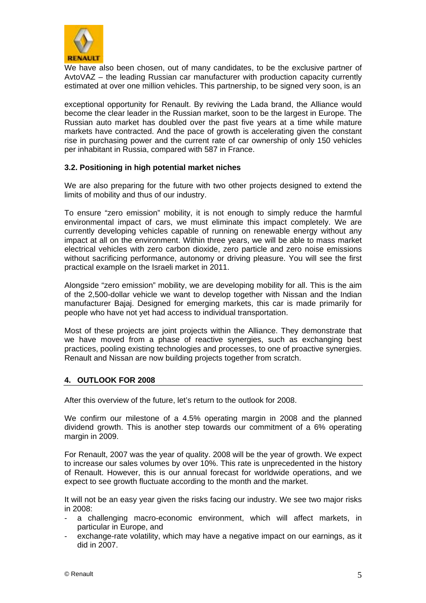

We have also been chosen, out of many candidates, to be the exclusive partner of AvtoVAZ – the leading Russian car manufacturer with production capacity currently estimated at over one million vehicles. This partnership, to be signed very soon, is an

exceptional opportunity for Renault. By reviving the Lada brand, the Alliance would become the clear leader in the Russian market, soon to be the largest in Europe. The Russian auto market has doubled over the past five years at a time while mature markets have contracted. And the pace of growth is accelerating given the constant rise in purchasing power and the current rate of car ownership of only 150 vehicles per inhabitant in Russia, compared with 587 in France.

### **3.2. Positioning in high potential market niches**

We are also preparing for the future with two other projects designed to extend the limits of mobility and thus of our industry.

To ensure "zero emission" mobility, it is not enough to simply reduce the harmful environmental impact of cars, we must eliminate this impact completely. We are currently developing vehicles capable of running on renewable energy without any impact at all on the environment. Within three years, we will be able to mass market electrical vehicles with zero carbon dioxide, zero particle and zero noise emissions without sacrificing performance, autonomy or driving pleasure. You will see the first practical example on the Israeli market in 2011.

Alongside "zero emission" mobility, we are developing mobility for all. This is the aim of the 2,500-dollar vehicle we want to develop together with Nissan and the Indian manufacturer Bajaj. Designed for emerging markets, this car is made primarily for people who have not yet had access to individual transportation.

Most of these projects are joint projects within the Alliance. They demonstrate that we have moved from a phase of reactive synergies, such as exchanging best practices, pooling existing technologies and processes, to one of proactive synergies. Renault and Nissan are now building projects together from scratch.

#### **4. OUTLOOK FOR 2008**

After this overview of the future, let's return to the outlook for 2008.

We confirm our milestone of a 4.5% operating margin in 2008 and the planned dividend growth. This is another step towards our commitment of a 6% operating margin in 2009.

For Renault, 2007 was the year of quality. 2008 will be the year of growth. We expect to increase our sales volumes by over 10%. This rate is unprecedented in the history of Renault. However, this is our annual forecast for worldwide operations, and we expect to see growth fluctuate according to the month and the market.

It will not be an easy year given the risks facing our industry. We see two major risks in 2008:

- a challenging macro-economic environment, which will affect markets, in particular in Europe, and
- exchange-rate volatility, which may have a negative impact on our earnings, as it did in 2007.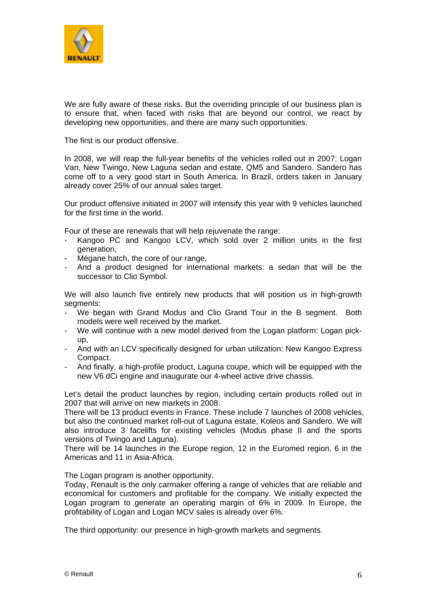

We are fully aware of these risks. But the overriding principle of our business plan is to ensure that, when faced with risks that are beyond our control, we react by developing new opportunities, and there are many such opportunities.

The first is our product offensive.

In 2008, we will reap the full-year benefits of the vehicles rolled out in 2007: Logan Van, New Twingo, New Laguna sedan and estate, QM5 and Sandero. Sandero has come off to a very good start in South America. In Brazil, orders taken in January already cover 25% of our annual sales target.

Our product offensive initiated in 2007 will intensify this year with 9 vehicles launched for the first time in the world.

Four of these are renewals that will help rejuvenate the range:

- Kangoo PC and Kangoo LCV, which sold over 2 million units in the first generation,
- Mégane hatch, the core of our range,
- And a product designed for international markets: a sedan that will be the successor to Clio Symbol.

We will also launch five entirely new products that will position us in high-growth segments:

- We began with Grand Modus and Clio Grand Tour in the B segment. Both models were well received by the market.
- We will continue with a new model derived from the Logan platform: Logan pickup,
- And with an LCV specifically designed for urban utilization: New Kangoo Express Compact.
- And finally, a high-profile product, Laguna coupe, which will be equipped with the new V6 dCi engine and inaugurate our 4-wheel active drive chassis.

Let's detail the product launches by region, including certain products rolled out in 2007 that will arrive on new markets in 2008.

There will be 13 product events in France. These include 7 launches of 2008 vehicles, but also the continued market roll-out of Laguna estate, Koleos and Sandero. We will also introduce 3 facelifts for existing vehicles (Modus phase II and the sports versions of Twingo and Laguna).

There will be 14 launches in the Europe region, 12 in the Euromed region, 6 in the Americas and 11 in Asia-Africa.

The Logan program is another opportunity.

Today, Renault is the only carmaker offering a range of vehicles that are reliable and economical for customers and profitable for the company. We initially expected the Logan program to generate an operating margin of 6% in 2009. In Europe, the profitability of Logan and Logan MCV sales is already over 6%.

The third opportunity: our presence in high-growth markets and segments.